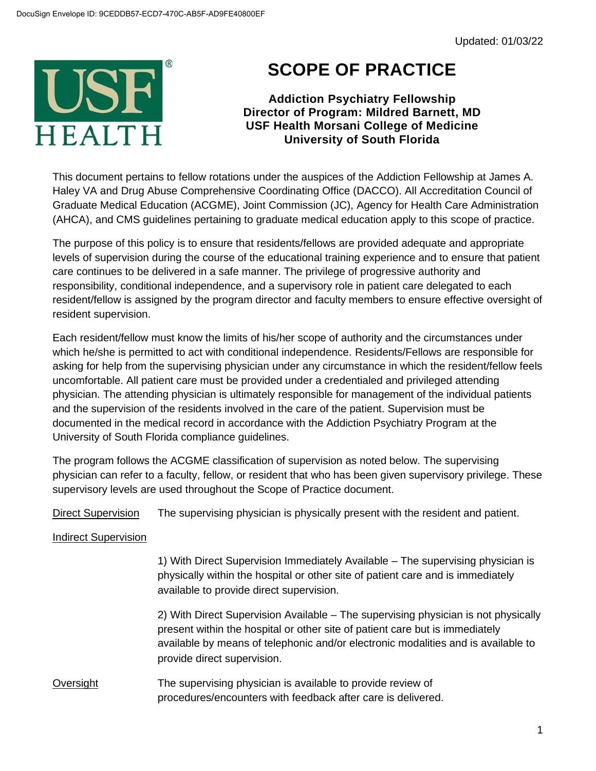

## **SCOPE OF PRACTICE**

**Addiction Psychiatry Fellowship Director of Program: Mildred Barnett, MD USF Health Morsani College of Medicine University of South Florida**

This document pertains to fellow rotations under the auspices of the Addiction Fellowship at James A. Haley VA and Drug Abuse Comprehensive Coordinating Office (DACCO). All Accreditation Council of Graduate Medical Education (ACGME), Joint Commission (JC), Agency for Health Care Administration (AHCA), and CMS guidelines pertaining to graduate medical education apply to this scope of practice.

The purpose of this policy is to ensure that residents/fellows are provided adequate and appropriate levels of supervision during the course of the educational training experience and to ensure that patient care continues to be delivered in a safe manner. The privilege of progressive authority and responsibility, conditional independence, and a supervisory role in patient care delegated to each resident/fellow is assigned by the program director and faculty members to ensure effective oversight of resident supervision.

Each resident/fellow must know the limits of his/her scope of authority and the circumstances under which he/she is permitted to act with conditional independence. Residents/Fellows are responsible for asking for help from the supervising physician under any circumstance in which the resident/fellow feels uncomfortable. All patient care must be provided under a credentialed and privileged attending physician. The attending physician is ultimately responsible for management of the individual patients and the supervision of the residents involved in the care of the patient. Supervision must be documented in the medical record in accordance with the Addiction Psychiatry Program at the University of South Florida compliance guidelines.

The program follows the ACGME classification of supervision as noted below. The supervising physician can refer to a faculty, fellow, or resident that who has been given supervisory privilege. These supervisory levels are used throughout the Scope of Practice document.

Direct Supervision The supervising physician is physically present with the resident and patient.

## Indirect Supervision

1) With Direct Supervision Immediately Available – The supervising physician is physically within the hospital or other site of patient care and is immediately available to provide direct supervision.

2) With Direct Supervision Available – The supervising physician is not physically present within the hospital or other site of patient care but is immediately available by means of telephonic and/or electronic modalities and is available to provide direct supervision.

## Oversight The supervising physician is available to provide review of procedures/encounters with feedback after care is delivered.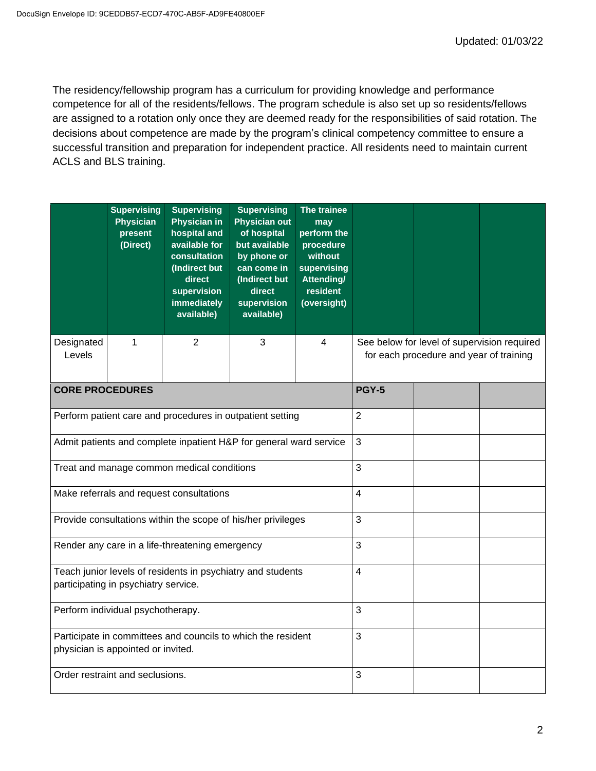The residency/fellowship program has a curriculum for providing knowledge and performance competence for all of the residents/fellows. The program schedule is also set up so residents/fellows are assigned to a rotation only once they are deemed ready for the responsibilities of said rotation. The decisions about competence are made by the program's clinical competency committee to ensure a successful transition and preparation for independent practice. All residents need to maintain current ACLS and BLS training.

|                        | <b>Supervising</b><br><b>Physician</b><br>present<br>(Direct) | <b>Supervising</b><br>Physician in<br>hospital and<br>available for<br>consultation<br>(Indirect but<br>direct<br>supervision<br>immediately<br>available) | <b>Supervising</b><br><b>Physician out</b><br>of hospital<br>but available<br>by phone or<br>can come in<br>(Indirect but<br>direct<br>supervision<br>available) | The trainee<br>may<br>perform the<br>procedure<br>without<br>supervising<br>Attending/<br>resident<br>(oversight) |                                                                                        |  |  |  |
|------------------------|---------------------------------------------------------------|------------------------------------------------------------------------------------------------------------------------------------------------------------|------------------------------------------------------------------------------------------------------------------------------------------------------------------|-------------------------------------------------------------------------------------------------------------------|----------------------------------------------------------------------------------------|--|--|--|
| Designated<br>Levels   | 1                                                             | $\overline{2}$                                                                                                                                             | 3                                                                                                                                                                | 4                                                                                                                 | See below for level of supervision required<br>for each procedure and year of training |  |  |  |
| <b>CORE PROCEDURES</b> |                                                               |                                                                                                                                                            | <b>PGY-5</b>                                                                                                                                                     |                                                                                                                   |                                                                                        |  |  |  |
|                        |                                                               | Perform patient care and procedures in outpatient setting                                                                                                  | $\overline{2}$                                                                                                                                                   |                                                                                                                   |                                                                                        |  |  |  |
|                        |                                                               | Admit patients and complete inpatient H&P for general ward service                                                                                         | $\mathbf{3}$                                                                                                                                                     |                                                                                                                   |                                                                                        |  |  |  |
|                        |                                                               | Treat and manage common medical conditions                                                                                                                 | 3                                                                                                                                                                |                                                                                                                   |                                                                                        |  |  |  |
|                        |                                                               | Make referrals and request consultations                                                                                                                   | $\overline{4}$                                                                                                                                                   |                                                                                                                   |                                                                                        |  |  |  |
|                        |                                                               | Provide consultations within the scope of his/her privileges                                                                                               | 3                                                                                                                                                                |                                                                                                                   |                                                                                        |  |  |  |
|                        |                                                               | Render any care in a life-threatening emergency                                                                                                            | 3                                                                                                                                                                |                                                                                                                   |                                                                                        |  |  |  |
|                        | participating in psychiatry service.                          | Teach junior levels of residents in psychiatry and students                                                                                                | $\overline{4}$                                                                                                                                                   |                                                                                                                   |                                                                                        |  |  |  |
|                        | Perform individual psychotherapy.                             |                                                                                                                                                            | 3                                                                                                                                                                |                                                                                                                   |                                                                                        |  |  |  |
|                        | physician is appointed or invited.                            | Participate in committees and councils to which the resident                                                                                               | 3                                                                                                                                                                |                                                                                                                   |                                                                                        |  |  |  |
|                        | Order restraint and seclusions.                               |                                                                                                                                                            | 3                                                                                                                                                                |                                                                                                                   |                                                                                        |  |  |  |